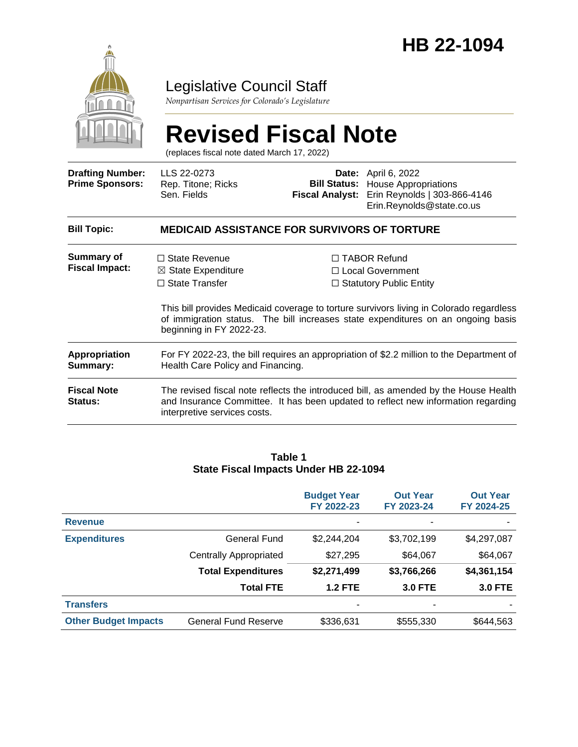

### Legislative Council Staff

*Nonpartisan Services for Colorado's Legislature*

# **Revised Fiscal Note**

(replaces fiscal note dated March 17, 2022)

| <b>Drafting Number:</b><br><b>Prime Sponsors:</b> | LLS 22-0273<br>Rep. Titone; Ricks<br>Sen. Fields                                                                                                                                                          | <b>Fiscal Analyst:</b> | <b>Date:</b> April 6, 2022<br><b>Bill Status:</b> House Appropriations<br>Erin Reynolds   303-866-4146<br>Erin.Reynolds@state.co.us                                                                                                                        |  |
|---------------------------------------------------|-----------------------------------------------------------------------------------------------------------------------------------------------------------------------------------------------------------|------------------------|------------------------------------------------------------------------------------------------------------------------------------------------------------------------------------------------------------------------------------------------------------|--|
| <b>Bill Topic:</b>                                | <b>MEDICAID ASSISTANCE FOR SURVIVORS OF TORTURE</b>                                                                                                                                                       |                        |                                                                                                                                                                                                                                                            |  |
| Summary of<br><b>Fiscal Impact:</b>               | $\Box$ State Revenue<br>$\boxtimes$ State Expenditure<br>$\Box$ State Transfer<br>beginning in FY 2022-23.                                                                                                |                        | $\Box$ TABOR Refund<br>□ Local Government<br>$\Box$ Statutory Public Entity<br>This bill provides Medicaid coverage to torture survivors living in Colorado regardless<br>of immigration status. The bill increases state expenditures on an ongoing basis |  |
| <b>Appropriation</b><br>Summary:                  | For FY 2022-23, the bill requires an appropriation of \$2.2 million to the Department of<br>Health Care Policy and Financing.                                                                             |                        |                                                                                                                                                                                                                                                            |  |
| <b>Fiscal Note</b><br><b>Status:</b>              | The revised fiscal note reflects the introduced bill, as amended by the House Health<br>and Insurance Committee. It has been updated to reflect new information regarding<br>interpretive services costs. |                        |                                                                                                                                                                                                                                                            |  |

#### **Table 1 State Fiscal Impacts Under HB 22-1094**

|                             |                             | <b>Budget Year</b><br>FY 2022-23 | <b>Out Year</b><br>FY 2023-24 | <b>Out Year</b><br>FY 2024-25 |
|-----------------------------|-----------------------------|----------------------------------|-------------------------------|-------------------------------|
| <b>Revenue</b>              |                             |                                  |                               |                               |
| <b>Expenditures</b>         | General Fund                | \$2,244,204                      | \$3,702,199                   | \$4,297,087                   |
|                             | Centrally Appropriated      | \$27,295                         | \$64,067                      | \$64,067                      |
|                             | <b>Total Expenditures</b>   | \$2,271,499                      | \$3,766,266                   | \$4,361,154                   |
|                             | <b>Total FTE</b>            | <b>1.2 FTE</b>                   | <b>3.0 FTE</b>                | <b>3.0 FTE</b>                |
| <b>Transfers</b>            |                             | ۰                                | ۰                             |                               |
| <b>Other Budget Impacts</b> | <b>General Fund Reserve</b> | \$336,631                        | \$555,330                     | \$644,563                     |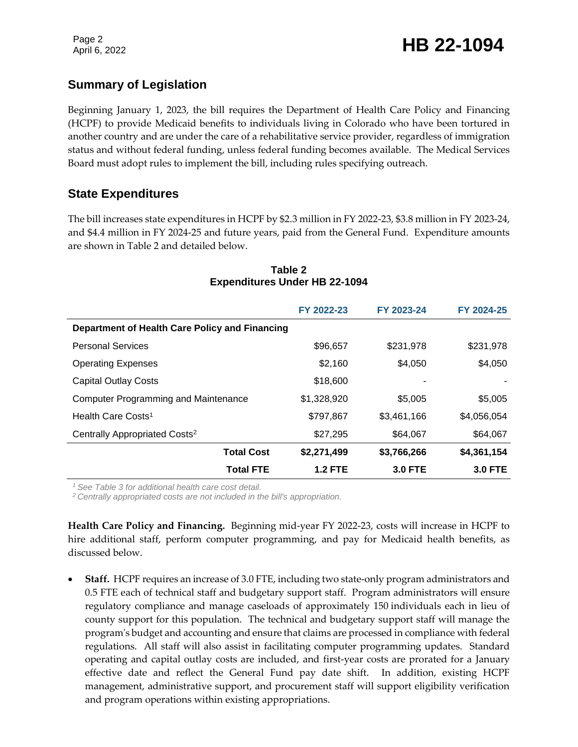### **Summary of Legislation**

Beginning January 1, 2023, the bill requires the Department of Health Care Policy and Financing (HCPF) to provide Medicaid benefits to individuals living in Colorado who have been tortured in another country and are under the care of a rehabilitative service provider, regardless of immigration status and without federal funding, unless federal funding becomes available. The Medical Services Board must adopt rules to implement the bill, including rules specifying outreach.

### **State Expenditures**

The bill increases state expenditures in HCPF by \$2.3 million in FY 2022-23, \$3.8 million in FY 2023-24, and \$4.4 million in FY 2024-25 and future years, paid from the General Fund. Expenditure amounts are shown in Table 2 and detailed below.

|                                                | FY 2022-23     | FY 2023-24     | FY 2024-25     |
|------------------------------------------------|----------------|----------------|----------------|
| Department of Health Care Policy and Financing |                |                |                |
| <b>Personal Services</b>                       | \$96,657       | \$231,978      | \$231,978      |
| <b>Operating Expenses</b>                      | \$2,160        | \$4,050        | \$4,050        |
| <b>Capital Outlay Costs</b>                    | \$18,600       |                |                |
| Computer Programming and Maintenance           | \$1,328,920    | \$5,005        | \$5,005        |
| Health Care Costs <sup>1</sup>                 | \$797,867      | \$3,461,166    | \$4,056,054    |
| Centrally Appropriated Costs <sup>2</sup>      | \$27,295       | \$64,067       | \$64,067       |
| <b>Total Cost</b>                              | \$2,271,499    | \$3,766,266    | \$4,361,154    |
| <b>Total FTE</b>                               | <b>1.2 FTE</b> | <b>3.0 FTE</b> | <b>3.0 FTE</b> |

### **Table 2 Expenditures Under HB 22-1094**

*<sup>1</sup> See Table 3 for additional health care cost detail.*

*<sup>2</sup> Centrally appropriated costs are not included in the bill's appropriation.*

**Health Care Policy and Financing.** Beginning mid-year FY 2022-23, costs will increase in HCPF to hire additional staff, perform computer programming, and pay for Medicaid health benefits, as discussed below.

 **Staff.** HCPF requires an increase of 3.0 FTE, including two state-only program administrators and 0.5 FTE each of technical staff and budgetary support staff. Program administrators will ensure regulatory compliance and manage caseloads of approximately 150 individuals each in lieu of county support for this population. The technical and budgetary support staff will manage the program's budget and accounting and ensure that claims are processed in compliance with federal regulations. All staff will also assist in facilitating computer programming updates. Standard operating and capital outlay costs are included, and first-year costs are prorated for a January effective date and reflect the General Fund pay date shift. In addition, existing HCPF management, administrative support, and procurement staff will support eligibility verification and program operations within existing appropriations.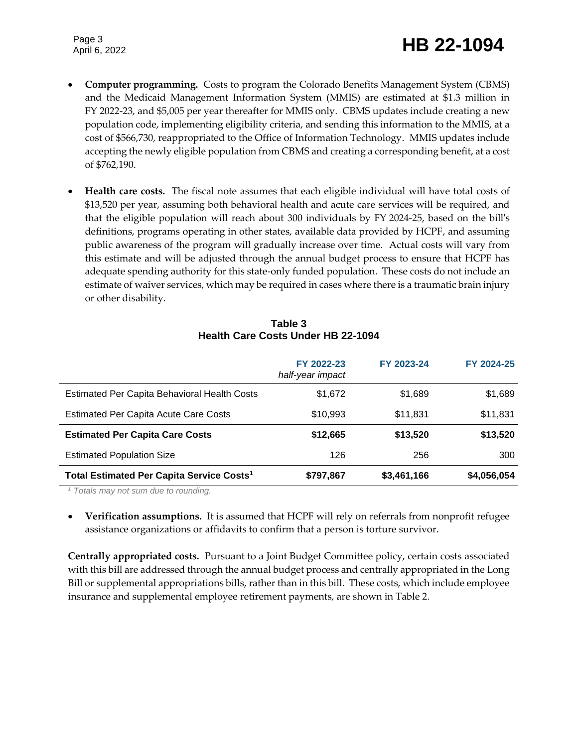Page 3

## April 6, 2022 **HB 22-1094**

- **Computer programming.** Costs to program the Colorado Benefits Management System (CBMS) and the Medicaid Management Information System (MMIS) are estimated at \$1.3 million in FY 2022-23, and \$5,005 per year thereafter for MMIS only. CBMS updates include creating a new population code, implementing eligibility criteria, and sending this information to the MMIS, at a cost of \$566,730, reappropriated to the Office of Information Technology. MMIS updates include accepting the newly eligible population from CBMS and creating a corresponding benefit, at a cost of \$762,190.
- **Health care costs.** The fiscal note assumes that each eligible individual will have total costs of \$13,520 per year, assuming both behavioral health and acute care services will be required, and that the eligible population will reach about 300 individuals by FY 2024-25, based on the bill's definitions, programs operating in other states, available data provided by HCPF, and assuming public awareness of the program will gradually increase over time. Actual costs will vary from this estimate and will be adjusted through the annual budget process to ensure that HCPF has adequate spending authority for this state-only funded population. These costs do not include an estimate of waiver services, which may be required in cases where there is a traumatic brain injury or other disability.

| Table 3                                   |  |  |
|-------------------------------------------|--|--|
| <b>Health Care Costs Under HB 22-1094</b> |  |  |

|                                                       | FY 2022-23<br>half-year impact | FY 2023-24  | FY 2024-25  |
|-------------------------------------------------------|--------------------------------|-------------|-------------|
| Estimated Per Capita Behavioral Health Costs          | \$1,672                        | \$1,689     | \$1,689     |
| <b>Estimated Per Capita Acute Care Costs</b>          | \$10,993                       | \$11,831    | \$11,831    |
| <b>Estimated Per Capita Care Costs</b>                | \$12,665                       | \$13,520    | \$13,520    |
| <b>Estimated Population Size</b>                      | 126                            | 256         | 300         |
| Total Estimated Per Capita Service Costs <sup>1</sup> | \$797,867                      | \$3,461,166 | \$4,056,054 |

*<sup>1</sup> Totals may not sum due to rounding.*

 **Verification assumptions.** It is assumed that HCPF will rely on referrals from nonprofit refugee assistance organizations or affidavits to confirm that a person is torture survivor.

**Centrally appropriated costs.** Pursuant to a Joint Budget Committee policy, certain costs associated with this bill are addressed through the annual budget process and centrally appropriated in the Long Bill or supplemental appropriations bills, rather than in this bill. These costs, which include employee insurance and supplemental employee retirement payments, are shown in Table 2.